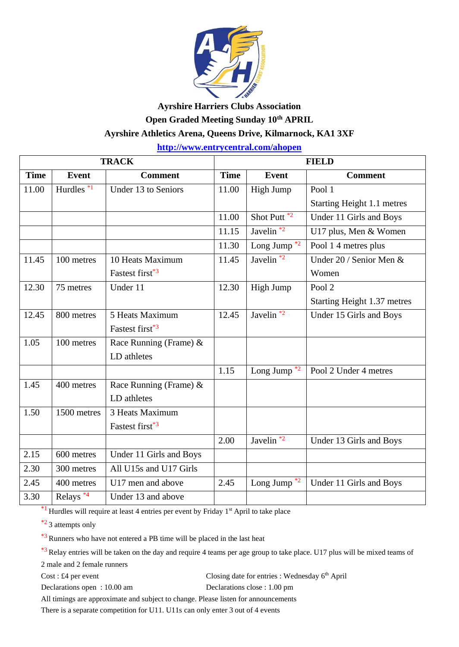

## **Ayrshire Harriers Clubs Association Open Graded Meeting Sunday 10th APRIL Ayrshire Athletics Arena, Queens Drive, Kilmarnock, KA1 3XF**

**<http://www.entrycentral.com/ahopen>**

| <b>TRACK</b> |                      |                             | <b>FIELD</b> |                          |                             |
|--------------|----------------------|-----------------------------|--------------|--------------------------|-----------------------------|
| <b>Time</b>  | <b>Event</b>         | <b>Comment</b>              | <b>Time</b>  | <b>Event</b>             | <b>Comment</b>              |
| 11.00        | Hurdles $*1$         | Under 13 to Seniors         | 11.00        | High Jump                | Pool 1                      |
|              |                      |                             |              |                          | Starting Height 1.1 metres  |
|              |                      |                             | 11.00        | Shot Putt $\overline{2}$ | Under 11 Girls and Boys     |
|              |                      |                             | 11.15        | Javelin <sup>*2</sup>    | U17 plus, Men & Women       |
|              |                      |                             | 11.30        | Long Jump $*2$           | Pool 1 4 metres plus        |
| 11.45        | 100 metres           | 10 Heats Maximum            | 11.45        | Javelin $*2$             | Under 20 / Senior Men &     |
|              |                      | Fastest first <sup>*3</sup> |              |                          | Women                       |
| 12.30        | 75 metres            | Under 11                    | 12.30        | High Jump                | Pool <sub>2</sub>           |
|              |                      |                             |              |                          | Starting Height 1.37 metres |
| 12.45        | 800 metres           | 5 Heats Maximum             | 12.45        | Javelin <sup>*2</sup>    | Under 15 Girls and Boys     |
|              |                      | Fastest first <sup>*3</sup> |              |                          |                             |
| 1.05         | 100 metres           | Race Running (Frame) &      |              |                          |                             |
|              |                      | LD athletes                 |              |                          |                             |
|              |                      |                             | 1.15         | Long Jump $*2$           | Pool 2 Under 4 metres       |
| 1.45         | 400 metres           | Race Running (Frame) $\&$   |              |                          |                             |
|              |                      | LD athletes                 |              |                          |                             |
| 1.50         | 1500 metres          | 3 Heats Maximum             |              |                          |                             |
|              |                      | Fastest first <sup>*3</sup> |              |                          |                             |
|              |                      |                             | 2.00         | Javelin <sup>*2</sup>    | Under 13 Girls and Boys     |
| 2.15         | 600 metres           | Under 11 Girls and Boys     |              |                          |                             |
| 2.30         | 300 metres           | All U15s and U17 Girls      |              |                          |                             |
| 2.45         | 400 metres           | U17 men and above           | 2.45         | Long Jump $*2$           | Under 11 Girls and Boys     |
| 3.30         | Relays <sup>*4</sup> | Under 13 and above          |              |                          |                             |

 $*1$  Hurdles will require at least 4 entries per event by Friday 1<sup>st</sup> April to take place

 $*$ <sup>2</sup> 3 attempts only

\*3 Runners who have not entered a PB time will be placed in the last heat

\*3 Relay entries will be taken on the day and require 4 teams per age group to take place. U17 plus will be mixed teams of

2 male and 2 female runners

 $Cost: \pounds4$  per event Closing date for entries : Wednesday  $6<sup>th</sup>$  April

Declarations open : 10.00 am Declarations close : 1.00 pm

All timings are approximate and subject to change. Please listen for announcements

There is a separate competition for U11. U11s can only enter 3 out of 4 events